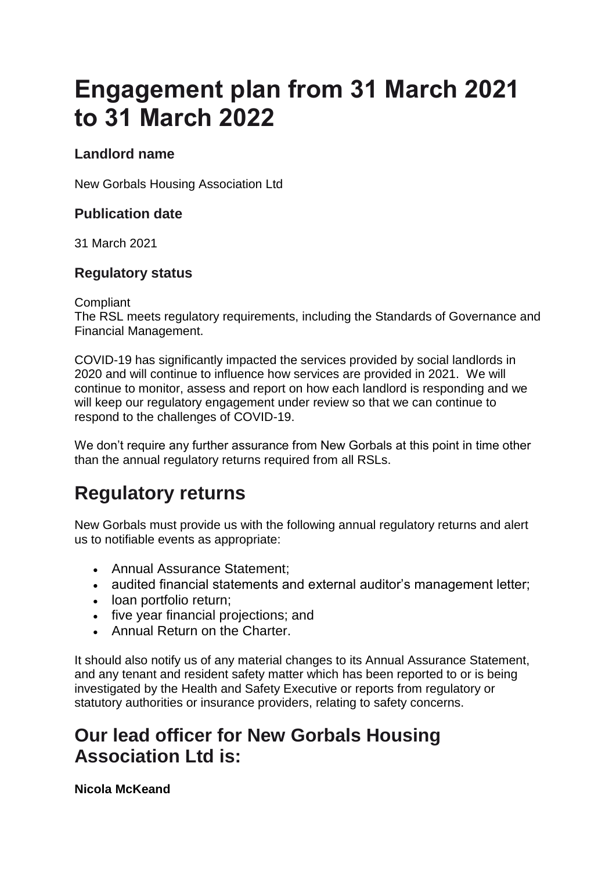# **Engagement plan from 31 March 2021 to 31 March 2022**

### **Landlord name**

New Gorbals Housing Association Ltd

#### **Publication date**

31 March 2021

#### **Regulatory status**

**Compliant** 

The RSL meets regulatory requirements, including the Standards of Governance and Financial Management.

COVID-19 has significantly impacted the services provided by social landlords in 2020 and will continue to influence how services are provided in 2021. We will continue to monitor, assess and report on how each landlord is responding and we will keep our regulatory engagement under review so that we can continue to respond to the challenges of COVID-19.

We don't require any further assurance from New Gorbals at this point in time other than the annual regulatory returns required from all RSLs.

## **Regulatory returns**

New Gorbals must provide us with the following annual regulatory returns and alert us to notifiable events as appropriate:

- Annual Assurance Statement;
- audited financial statements and external auditor's management letter;
- loan portfolio return;
- five year financial projections; and
- **Annual Return on the Charter.**

It should also notify us of any material changes to its Annual Assurance Statement, and any tenant and resident safety matter which has been reported to or is being investigated by the Health and Safety Executive or reports from regulatory or statutory authorities or insurance providers, relating to safety concerns.

### **Our lead officer for New Gorbals Housing Association Ltd is:**

**Nicola McKeand**